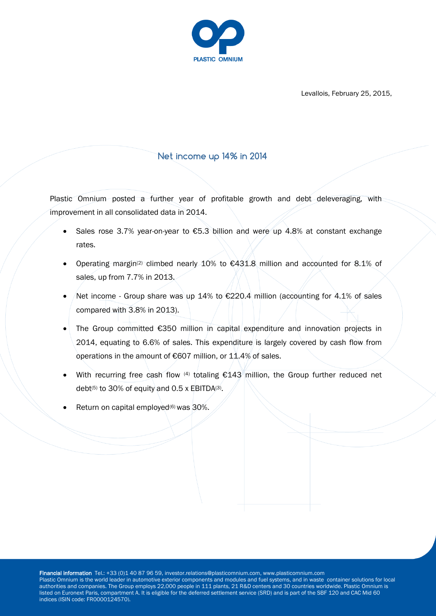

Levallois, February 25, 2015,

# **Net income up 14% in 2014**

Plastic Omnium posted a further year of profitable growth and debt deleveraging, with improvement in all consolidated data in 2014.

- Sales rose 3.7% year-on-year to €5.3 billion and were up 4.8% at constant exchange rates.
- Operating margin(2) climbed nearly 10% to €431.8 million and accounted for 8.1% of sales, up from 7.7% in 2013.
- $\sqrt{\frac{1}{100}}$  Net income Group share was up 14% to €220.4 million (accounting for 4.1% of sales compared with 3.8% in 2013).
- The Group committed €350 million in capital expenditure and innovation projects in 2014, equating to 6.6% of sales. This expenditure is largely covered by cash flow from operations in the amount of €607 million, or 11.4% of sales.
- With recurring free cash flow  $(4)$  totaling  $\epsilon$ 143 million, the Group further reduced net debt<sup>(5)</sup> to 30% of equity and 0.5 x EBITDA<sup>(3)</sup>.
- Return on capital employed<sup>(6)</sup> was 30%.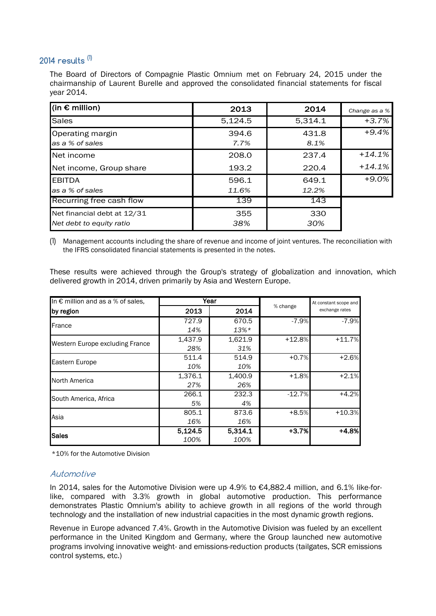# **2014 results (1)**

The Board of Directors of Compagnie Plastic Omnium met on February 24, 2015 under the chairmanship of Laurent Burelle and approved the consolidated financial statements for fiscal year 2014.

| $ $ (in € million)                                      | 2013           | 2014           | Change as a % |
|---------------------------------------------------------|----------------|----------------|---------------|
| <b>Sales</b>                                            | 5,124.5        | 5,314.1        | +3.7%         |
| Operating margin<br>as a % of sales                     | 394.6<br>7.7%  | 431.8<br>8.1%  | $+9.4%$       |
| Net income                                              | 208.0          | 237.4          | $+14.1%$      |
| Net income, Group share                                 | 193.2          | 220.4          | $+14.1%$      |
| <b>EBITDA</b><br>as a % of sales                        | 596.1<br>11.6% | 649.1<br>12.2% | +9.0%         |
| Recurring free cash flow                                | 139            | 143            |               |
| Net financial debt at 12/31<br>Net debt to equity ratio | 355<br>38%     | 330<br>30%     |               |

(1) Management accounts including the share of revenue and income of joint ventures. The reconciliation with the IFRS consolidated financial statements is presented in the notes.

These results were achieved through the Group's strategy of globalization and innovation, which delivered growth in 2014, driven primarily by Asia and Western Europe.

| In € million and as a % of sales, | Year    |         |          | At constant scope and |  |
|-----------------------------------|---------|---------|----------|-----------------------|--|
| by region                         | 2013    | 2014    | % change | exchange rates        |  |
| <b>France</b>                     | 727.9   | 670.5   | $-7.9%$  | $-7.9%$               |  |
|                                   | 14%     | $13\%*$ |          |                       |  |
| Western Europe excluding France   | 1,437.9 | 1,621.9 | $+12.8%$ | $+11.7%$              |  |
|                                   | 28%     | 31%     |          |                       |  |
| <b>Eastern Europe</b>             | 511.4   | 514.9   | $+0.7%$  | $+2.6%$               |  |
|                                   | 10%     | 10%     |          |                       |  |
| North America                     | 1,376.1 | 1,400.9 | $+1.8%$  | $+2.1%$               |  |
|                                   | 27%     | 26%     |          |                       |  |
| South America, Africa             | 266.1   | 232.3   | $-12.7%$ | $+4.2%$               |  |
|                                   | 5%      | 4%      |          |                       |  |
| Asia                              | 805.1   | 873.6   | $+8.5%$  | $+10.3%$              |  |
|                                   | 16%     | 16%     |          |                       |  |
| <b>Sales</b>                      | 5,124.5 | 5,314.1 | $+3.7%$  | $+4.8%$               |  |
|                                   | 100%    | 100%    |          |                       |  |

\*10% for the Automotive Division

### Automotive

In 2014, sales for the Automotive Division were up 4.9% to €4,882.4 million, and 6.1% like-forlike, compared with 3.3% growth in global automotive production. This performance demonstrates Plastic Omnium's ability to achieve growth in all regions of the world through technology and the installation of new industrial capacities in the most dynamic growth regions.

Revenue in Europe advanced 7.4%. Growth in the Automotive Division was fueled by an excellent performance in the United Kingdom and Germany, where the Group launched new automotive programs involving innovative weight- and emissions-reduction products (tailgates, SCR emissions control systems, etc.)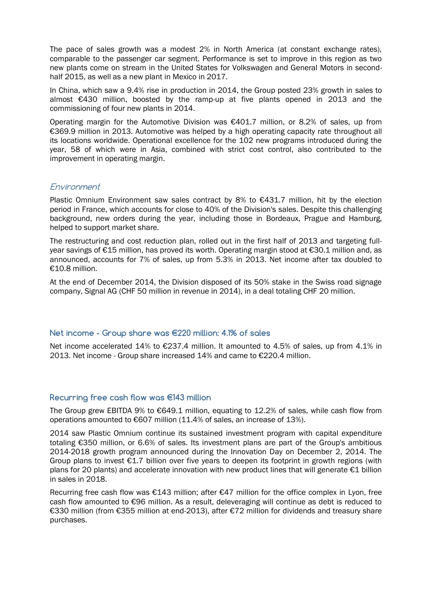The pace of sales growth was a modest 2% in North America (at constant exchange rates), comparable to the passenger car segment. Performance is set to improve in this region as two new plants come on stream in the United States for Volkswagen and General Motors in secondhalf 2015, as well as a new plant in Mexico in 2017.

In China, which saw a 9.4% rise in production in 2014, the Group posted 23% growth in sales to almost €430 million, boosted by the ramp-up at five plants opened in 2013 and the commissioning of four new plants in 2014.

Operating margin for the Automotive Division was €401.7 million, or 8.2% of sales, up from €369.9 million in 2013. Automotive was helped by a high operating capacity rate throughout all its locations worldwide. Operational excellence for the 102 new programs introduced during the year, 58 of which were in Asia, combined with strict cost control, also contributed to the improvement in operating margin.

### Environment

Plastic Omnium Environment saw sales contract by 8% to €431.7 million, hit by the election period in France, which accounts for close to 40% of the Division's sales. Despite this challenging background, new orders during the year, including those in Bordeaux, Prague and Hamburg, helped to support market share.

The restructuring and cost reduction plan, rolled out in the first half of 2013 and targeting fullyear savings of €15 million, has proved its worth. Operating margin stood at €30.1 million and, as announced, accounts for 7% of sales, up from 5.3% in 2013. Net income after tax doubled to €10.8 million.

At the end of December 2014, the Division disposed of its 50% stake in the Swiss road signage company, Signal AG (CHF 50 million in revenue in 2014), in a deal totaling CHF 20 million.

#### **Net income - Group share was €220 million: 4.1% of sales**

Net income accelerated 14% to €237.4 million. It amounted to 4.5% of sales, up from 4.1% in 2013. Net income - Group share increased 14% and came to €220.4 million.

#### **Recurring free cash flow was €143 million**

The Group grew EBITDA 9% to €649.1 million, equating to 12.2% of sales, while cash flow from operations amounted to €607 million (11.4% of sales, an increase of 13%).

2014 saw Plastic Omnium continue its sustained investment program with capital expenditure totaling €350 million, or 6.6% of sales. Its investment plans are part of the Group's ambitious 2014-2018 growth program announced during the Innovation Day on December 2, 2014. The Group plans to invest  $E1.7$  billion over five years to deepen its footprint in growth regions (with plans for 20 plants) and accelerate innovation with new product lines that will generate  $\epsilon_1$  billion in sales in 2018.

Recurring free cash flow was  $\epsilon$ 143 million; after  $\epsilon$ 47 million for the office complex in Lyon, free cash flow amounted to €96 million. As a result, deleveraging will continue as debt is reduced to €330 million (from €355 million at end-2013), after €72 million for dividends and treasury share purchases.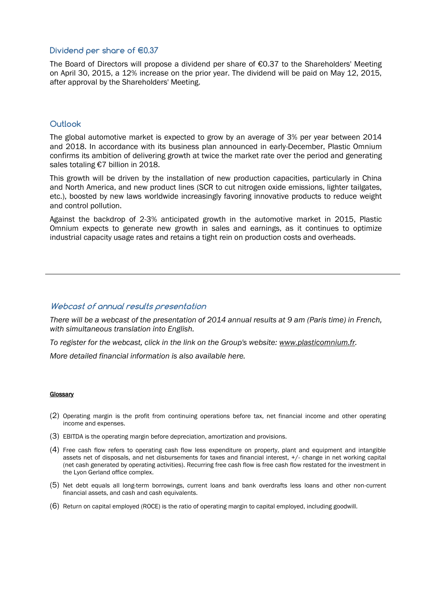#### **Dividend per share of €0.37**

The Board of Directors will propose a dividend per share of  $\epsilon$ 0.37 to the Shareholders' Meeting on April 30, 2015, a 12% increase on the prior year. The dividend will be paid on May 12, 2015, after approval by the Shareholders' Meeting.

#### **Outlook**

The global automotive market is expected to grow by an average of 3% per year between 2014 and 2018. In accordance with its business plan announced in early-December, Plastic Omnium confirms its ambition of delivering growth at twice the market rate over the period and generating sales totaling €7 billion in 2018.

This growth will be driven by the installation of new production capacities, particularly in China and North America, and new product lines (SCR to cut nitrogen oxide emissions, lighter tailgates, etc.), boosted by new laws worldwide increasingly favoring innovative products to reduce weight and control pollution.

Against the backdrop of 2-3% anticipated growth in the automotive market in 2015, Plastic Omnium expects to generate new growth in sales and earnings, as it continues to optimize industrial capacity usage rates and retains a tight rein on production costs and overheads.

#### **Webcast of annual results presentation**

*There will be a webcast of the presentation of 2014 annual results at 9 am (Paris time) in French, with simultaneous translation into English.*

*To register for the webcast, click in the link on the Group's website: [www.plasticomnium.fr.](http://www.plasticomnium.fr/)*

*More detailed financial information is also available here.*

#### **Glossary**

- (2) Operating margin is the profit from continuing operations before tax, net financial income and other operating income and expenses.
- (3) EBITDA is the operating margin before depreciation, amortization and provisions.
- (4) Free cash flow refers to operating cash flow less expenditure on property, plant and equipment and intangible assets net of disposals, and net disbursements for taxes and financial interest, +/- change in net working capital (net cash generated by operating activities). Recurring free cash flow is free cash flow restated for the investment in the Lyon Gerland office complex.
- (5) Net debt equals all long-term borrowings, current loans and bank overdrafts less loans and other non-current financial assets, and cash and cash equivalents.
- (6) Return on capital employed (ROCE) is the ratio of operating margin to capital employed, including goodwill.